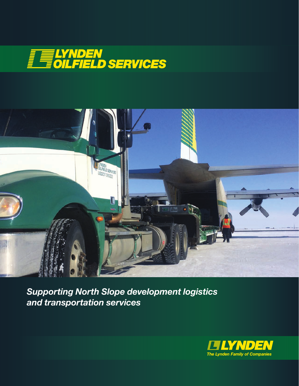



*Supporting North Slope development logistics and transportation services*

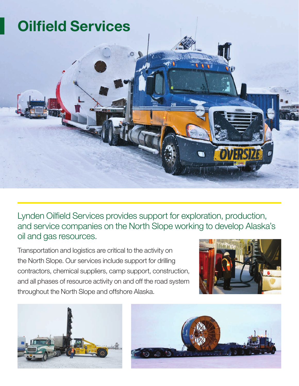

Lynden Oilfield Services provides support for exploration, production, and service companies on the North Slope working to develop Alaska's oil and gas resources.

Transportation and logistics are critical to the activity on the North Slope. Our services include support for drilling contractors, chemical suppliers, camp support, construction, and all phases of resource activity on and off the road system throughout the North Slope and offshore Alaska.





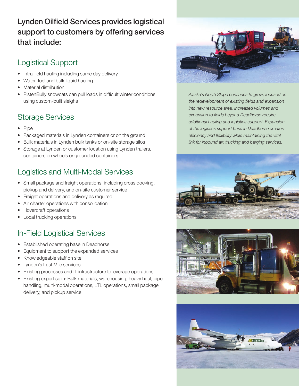# Lynden Oilfield Services provides logistical support to customers by offering services that include:

#### Logistical Support

- Intra-field hauling including same day delivery
- Water, fuel and bulk liquid hauling
- Material distribution
- PistenBully snowcats can pull loads in difficult winter conditions using custom-built sleighs

### Storage Services

- Pipe
- Packaged materials in Lynden containers or on the ground
- Bulk materials in Lynden bulk tanks or on-site storage silos
- Storage at Lynden or customer location using Lynden trailers, containers on wheels or grounded containers

### Logistics and Multi-Modal Services

- Small package and freight operations, including cross docking, pickup and delivery, and on-site customer service
- Freight operations and delivery as required
- Air charter operations with consolidation
- Hovercraft operations
- Local trucking operations

## In-Field Logistical Services

- Established operating base in Deadhorse
- Equipment to support the expanded services
- Knowledgeable staff on site
- Lynden's Last Mile services
- Existing processes and IT infrastructure to leverage operations
- Existing expertise in: Bulk materials, warehousing, heavy haul, pipe handling, multi-modal operations, LTL operations, small package delivery, and pickup service



*Alaska's North Slope continues to grow, focused on the redevelopment of existing fields and expansion into new resource area. Increased volumes and expansion to fields beyond Deadhorse require additional hauling and logistics support. Expansion of the logistics support base in Deadhorse creates efficiency and flexibility while maintaining the vital link for inbound air, trucking and barging services.*